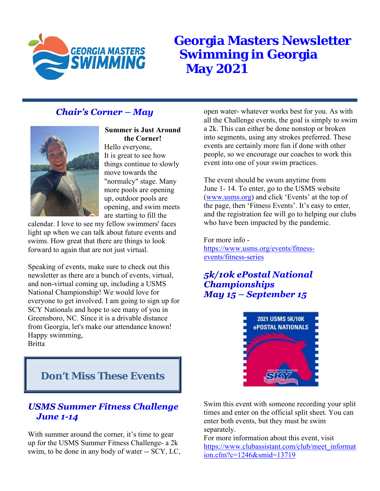

# **Georgia Masters Newsletter Swimming in Georgia May 2021**

## **Chair's Corner - May**



**Summer is Just Around the Corner!** 

Hello everyone, It is great to see how things continue to slowly move towards the "normalcy" stage. Many more pools are opening up, outdoor pools are opening, and swim meets are starting to fill the

calendar. I love to see my fellow swimmers' faces light up when we can talk about future events and swims. How great that there are things to look forward to again that are not just virtual.

Speaking of events, make sure to check out this newsletter as there are a bunch of events, virtual, and non-virtual coming up, including a USMS National Championship! We would love for everyone to get involved. I am going to sign up for SCY Nationals and hope to see many of you in Greensboro, NC. Since it is a drivable distance from Georgia, let's make our attendance known! Happy swimming, Britta

open water- whatever works best for you. As with all the Challenge events, the goal is simply to swim a 2k. This can either be done nonstop or broken into segments, using any strokes preferred. These events are certainly more fun if done with other people, so we encourage our coaches to work this event into one of your swim practices.

The event should be swum anytime from June 1- 14. To enter, go to the USMS website (www.usms.org) and click 'Events' at the top of the page, then 'Fitness Events'. It's easy to enter, and the registration fee will go to helping our clubs who have been impacted by the pandemic.

For more info https://www.usms.org/events/fitnessevents/fitness-series

#### 5k/10k ePostal National **Championships** May  $15$  – September  $15$



**Don't Miss These Events** 

#### **USMS Summer Fitness Challenge June 1-14**

With summer around the corner, it's time to gear up for the USMS Summer Fitness Challenge- a 2k swim, to be done in any body of water -- SCY, LC, Swim this event with someone recording your split times and enter on the official split sheet. You can enter both events, but they must be swim separately.

For more information about this event, visit https://www.clubassistant.com/club/meet\_informat ion.cfm?c=1246&smid=13719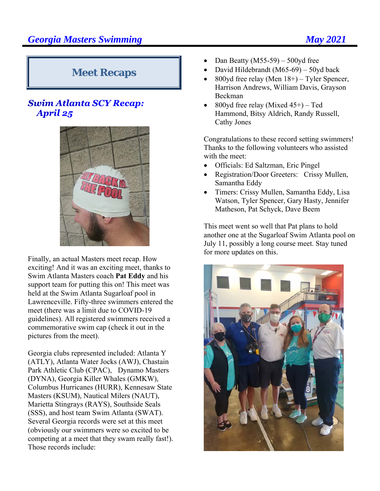# **Meet Recaps**

#### **Swim Atlanta SCY Recap:** April 25



Finally, an actual Masters meet recap. How exciting! And it was an exciting meet, thanks to Swim Atlanta Masters coach **Pat Eddy** and his support team for putting this on! This meet was held at the Swim Atlanta Sugarloaf pool in Lawrenceville. Fifty-three swimmers entered the meet (there was a limit due to COVID-19 guidelines). All registered swimmers received a commemorative swim cap (check it out in the pictures from the meet).

Georgia clubs represented included: Atlanta Y (ATLY), Atlanta Water Jocks (AWJ), Chastain Park Athletic Club (CPAC), Dynamo Masters (DYNA), Georgia Killer Whales (GMKW), Columbus Hurricanes (HURR), Kennesaw State Masters (KSUM), Nautical Milers (NAUT), Marietta Stingrays (RAYS), Southside Seals (SSS), and host team Swim Atlanta (SWAT). Several Georgia records were set at this meet (obviously our swimmers were so excited to be competing at a meet that they swam really fast!). Those records include:

- Dan Beatty (M55-59) 500yd free
- David Hildebrandt (M65-69) 50yd back
- 800yd free relay (Men 18+) Tyler Spencer, Harrison Andrews, William Davis, Grayson Beckman
- 800yd free relay (Mixed 45+) Ted Hammond, Bitsy Aldrich, Randy Russell, Cathy Jones

Congratulations to these record setting swimmers! Thanks to the following volunteers who assisted with the meet:

- Officials: Ed Saltzman, Eric Pingel
- Registration/Door Greeters: Crissy Mullen, Samantha Eddy
- Timers: Crissy Mullen, Samantha Eddy, Lisa Watson, Tyler Spencer, Gary Hasty, Jennifer Matheson, Pat Schyck, Dave Beem

This meet went so well that Pat plans to hold another one at the Sugarloaf Swim Atlanta pool on July 11, possibly a long course meet. Stay tuned for more updates on this.

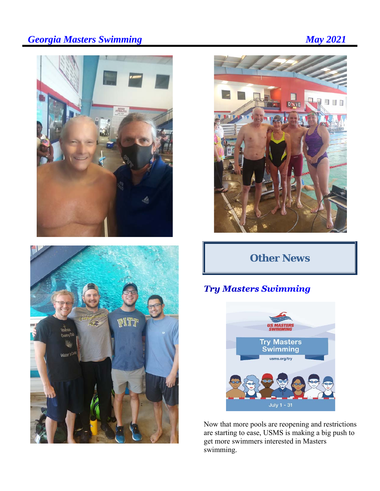# **Georgia Masters Swimming May 2021**







# **Other News**

## **Try Masters Swimming**



Now that more pools are reopening and restrictions are starting to ease, USMS is making a big push to get more swimmers interested in Masters swimming.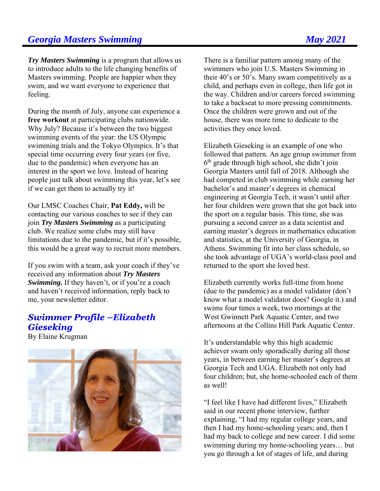#### **Georgia Masters Swimming Community Community Community Community Community Community Community Community Community Community Community Community Community Community Community Community Community Community Community Commun**

*Try Masters Swimming* is a program that allows us to introduce adults to the life changing benefits of Masters swimming. People are happier when they swim, and we want everyone to experience that feeling.

During the month of July, anyone can experience a **free workout** at participating clubs nationwide. Why July? Because it's between the two biggest swimming events of the year: the US Olympic swimming trials and the Tokyo Olympics. It's that special time occurring every four years (or five, due to the pandemic) when everyone has an interest in the sport we love. Instead of hearing people just talk about swimming this year, let's see if we can get them to actually try it!

Our LMSC Coaches Chair, **Pat Eddy,** will be contacting our various coaches to see if they can join *Try Masters Swimming* as a participating club. We realize some clubs may still have limitations due to the pandemic, but if it's possible, this would be a great way to recruit more members.

If you swim with a team, ask your coach if they've received any information about *Try Masters Swimming.* If they haven't, or if you're a coach and haven't received information, reply back to me, your newsletter editor.

#### **Swimmer Profile - Elizabeth Gieseking**

By Elaine Krugman



There is a familiar pattern among many of the swimmers who join U.S. Masters Swimming in their 40's or 50's. Many swam competitively as a child, and perhaps even in college, then life got in the way. Children and/or careers forced swimming to take a backseat to more pressing commitments. Once the children were grown and out of the house, there was more time to dedicate to the activities they once loved.

Elizabeth Gieseking is an example of one who followed that pattern. An age group swimmer from  $6<sup>th</sup>$  grade through high school, she didn't join Georgia Masters until fall of 2018. Although she had competed in club swimming while earning her bachelor's and master's degrees in chemical engineering at Georgia Tech, it wasn't until after her four children were grown that she got back into the sport on a regular basis. This time, she was pursuing a second career as a data scientist and earning master's degrees in mathematics education and statistics, at the University of Georgia, in Athens. Swimming fit into her class schedule, so she took advantage of UGA's world-class pool and returned to the sport she loved best.

Elizabeth currently works full-time from home (due to the pandemic) as a model validator (don't know what a model validator does? Google it.) and swims four times a week, two mornings at the West Gwinnett Park Aquatic Center, and two afternoons at the Collins Hill Park Aquatic Center.

It's understandable why this high academic achiever swam only sporadically during all those years, in between earning her master's degrees at Georgia Tech and UGA. Elizabeth not only had four children; but, she home-schooled each of them as well!

"I feel like I have had different lives," Elizabeth said in our recent phone interview, further explaining, "I had my regular college years, and then I had my home-schooling years; and, then I had my back to college and new career. I did some swimming during my home-schooling years… but you go through a lot of stages of life, and during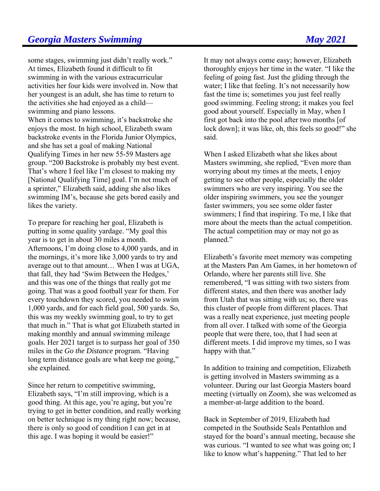some stages, swimming just didn't really work." At times, Elizabeth found it difficult to fit swimming in with the various extracurricular activities her four kids were involved in. Now that her youngest is an adult, she has time to return to the activities she had enjoyed as a child swimming and piano lessons. When it comes to swimming, it's backstroke she enjoys the most. In high school, Elizabeth swam backstroke events in the Florida Junior Olympics, and she has set a goal of making National Qualifying Times in her new 55-59 Masters age group. "200 Backstroke is probably my best event. That's where I feel like I'm closest to making my [National Qualifying Time] goal. I'm not much of a sprinter," Elizabeth said, adding she also likes swimming IM's, because she gets bored easily and likes the variety.

To prepare for reaching her goal, Elizabeth is putting in some quality yardage. "My goal this year is to get in about 30 miles a month. Afternoons, I'm doing close to 4,000 yards, and in the mornings, it's more like 3,000 yards to try and average out to that amount… When I was at UGA, that fall, they had 'Swim Between the Hedges,' and this was one of the things that really got me going. That was a good football year for them. For every touchdown they scored, you needed to swim 1,000 yards, and for each field goal, 500 yards. So, this was my weekly swimming goal, to try to get that much in." That is what got Elizabeth started in making monthly and annual swimming mileage goals. Her 2021 target is to surpass her goal of 350 miles in the *Go the Distance* program. "Having long term distance goals are what keep me going," she explained.

Since her return to competitive swimming, Elizabeth says, "I'm still improving, which is a good thing. At this age, you're aging, but you're trying to get in better condition, and really working on better technique is my thing right now; because, there is only so good of condition I can get in at this age. I was hoping it would be easier!"

It may not always come easy; however, Elizabeth thoroughly enjoys her time in the water. "I like the feeling of going fast. Just the gliding through the water; I like that feeling. It's not necessarily how fast the time is; sometimes you just feel really good swimming. Feeling strong; it makes you feel good about yourself. Especially in May, when I first got back into the pool after two months [of lock down]; it was like, oh, this feels *so* good!" she said.

When I asked Elizabeth what she likes about Masters swimming, she replied, "Even more than worrying about my times at the meets, I enjoy getting to see other people, especially the older swimmers who are very inspiring. You see the older inspiring swimmers, you see the younger faster swimmers, you see some older faster swimmers; I find that inspiring. To me, I like that more about the meets than the actual competition. The actual competition may or may not go as planned."

Elizabeth's favorite meet memory was competing at the Masters Pan Am Games, in her hometown of Orlando, where her parents still live. She remembered, "I was sitting with two sisters from different states, and then there was another lady from Utah that was sitting with us; so, there was this cluster of people from different places. That was a really neat experience, just meeting people from all over. I talked with some of the Georgia people that were there, too, that I had seen at different meets. I did improve my times, so I was happy with that."

In addition to training and competition, Elizabeth is getting involved in Masters swimming as a volunteer. During our last Georgia Masters board meeting (virtually on Zoom), she was welcomed as a member-at-large addition to the board.

Back in September of 2019, Elizabeth had competed in the Southside Seals Pentathlon and stayed for the board's annual meeting, because she was curious. "I wanted to see what was going on; I like to know what's happening." That led to her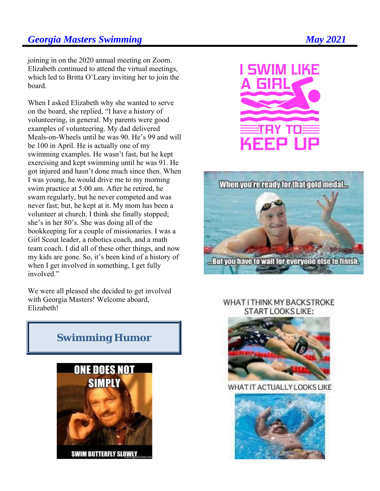#### **Georgia Masters Swimming Community Community Community Community Community Community Community Community Community Community Community Community Community Community Community Community Community Community Community Commun**

#### joining in on the 2020 annual meeting on Zoom. Elizabeth continued to attend the virtual meetings, which led to Britta O'Leary inviting her to join the board.

When I asked Elizabeth why she wanted to serve on the board, she replied, "I have a history of volunteering, in general. My parents were good examples of volunteering. My dad delivered Meals-on-Wheels until he was 90. He's 99 and will be 100 in April. He is actually one of my swimming examples. He wasn't fast, but he kept exercising and kept swimming until he was 91. He got injured and hasn't done much since then. When I was young, he would drive me to my morning swim practice at 5:00 am. After he retired, he swam regularly, but he never competed and was never fast; but, he kept at it. My mom has been a volunteer at church. I think she finally stopped; she's in her 80's. She was doing all of the bookkeeping for a couple of missionaries. I was a Girl Scout leader, a robotics coach, and a math team coach. I did all of these other things, and now my kids are gone. So, it's been kind of a history of when I get involved in something, I get fully involved."

We were all pleased she decided to get involved with Georgia Masters! Welcome aboard, Elizabeth!

# **SWIM LIKE** TRY TO KEEP UP



#### WHAT I THINK MY BACKSTROKE START LOOKS LIKE:



#### WHAT IT ACTUALLY LOOKS LIKE



## **Swimming Humor**

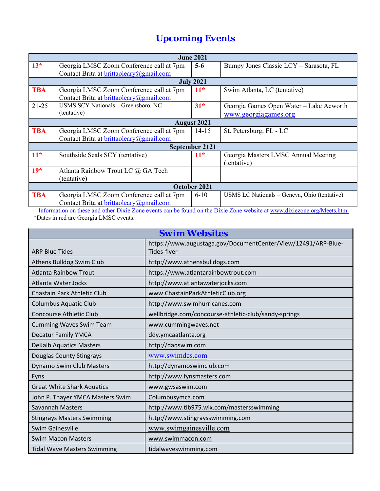# *Upcoming Events*

| <b>June 2021</b>   |                                          |                |                                              |  |  |  |  |  |
|--------------------|------------------------------------------|----------------|----------------------------------------------|--|--|--|--|--|
| $13*$              | Georgia LMSC Zoom Conference call at 7pm | $5-6$          | Bumpy Jones Classic LCY - Sarasota, FL       |  |  |  |  |  |
|                    | Contact Brita at brittaoleary@gmail.com  |                |                                              |  |  |  |  |  |
|                    | <b>July 2021</b>                         |                |                                              |  |  |  |  |  |
| <b>TBA</b>         | Georgia LMSC Zoom Conference call at 7pm | $11*$          | Swim Atlanta, LC (tentative)                 |  |  |  |  |  |
|                    | Contact Brita at brittaoleary@gmail.com  |                |                                              |  |  |  |  |  |
| $21 - 25$          | USMS SCY Nationals – Greensboro, NC      | $31*$          | Georgia Games Open Water – Lake Acworth      |  |  |  |  |  |
| (tentative)        |                                          |                | www.georgiagames.org                         |  |  |  |  |  |
| <b>August 2021</b> |                                          |                |                                              |  |  |  |  |  |
| <b>TBA</b>         | Georgia LMSC Zoom Conference call at 7pm | $14 - 15$      | St. Petersburg, FL - LC                      |  |  |  |  |  |
|                    | Contact Brita at brittaoleary@gmail.com  |                |                                              |  |  |  |  |  |
|                    |                                          | September 2121 |                                              |  |  |  |  |  |
| $11*$              | Southside Seals SCY (tentative)          | $11*$          | Georgia Masters LMSC Annual Meeting          |  |  |  |  |  |
|                    |                                          |                | (tentative)                                  |  |  |  |  |  |
| $19*$              | Atlanta Rainbow Trout LC @ GA Tech       |                |                                              |  |  |  |  |  |
|                    | (tentative)                              |                |                                              |  |  |  |  |  |
| October 2021       |                                          |                |                                              |  |  |  |  |  |
| <b>TBA</b>         | Georgia LMSC Zoom Conference call at 7pm | $6 - 10$       | USMS LC Nationals - Geneva, Ohio (tentative) |  |  |  |  |  |
|                    | Contact Brita at brittaoleary@gmail.com  |                |                                              |  |  |  |  |  |

Information on these and other Dixie Zone events can be found on the Dixie Zone website at www.dixiezone.org/Meets.htm. \*Dates in red are Georgia LMSC events.

| <b>Swim Websites</b>               |                                                                              |  |  |
|------------------------------------|------------------------------------------------------------------------------|--|--|
| <b>ARP Blue Tides</b>              | https://www.augustaga.gov/DocumentCenter/View/12491/ARP-Blue-<br>Tides-flyer |  |  |
| Athens Bulldog Swim Club           | http://www.athensbulldogs.com                                                |  |  |
| <b>Atlanta Rainbow Trout</b>       | https://www.atlantarainbowtrout.com                                          |  |  |
| Atlanta Water Jocks                | http://www.atlantawaterjocks.com                                             |  |  |
| Chastain Park Athletic Club        | www.ChastainParkAthleticClub.org                                             |  |  |
| <b>Columbus Aquatic Club</b>       | http://www.swimhurricanes.com                                                |  |  |
| <b>Concourse Athletic Club</b>     | wellbridge.com/concourse-athletic-club/sandy-springs                         |  |  |
| <b>Cumming Waves Swim Team</b>     | www.cummingwaves.net                                                         |  |  |
| <b>Decatur Family YMCA</b>         | ddy.ymcaatlanta.org                                                          |  |  |
| <b>DeKalb Aquatics Masters</b>     | http://daqswim.com                                                           |  |  |
| Douglas County Stingrays           | www.swimdcs.com                                                              |  |  |
| Dynamo Swim Club Masters           | http://dynamoswimclub.com                                                    |  |  |
| Fyns                               | http://www.fynsmasters.com                                                   |  |  |
| <b>Great White Shark Aquatics</b>  | www.gwsaswim.com                                                             |  |  |
| John P. Thayer YMCA Masters Swim   | Columbusymca.com                                                             |  |  |
| Savannah Masters                   | http://www.tlb975.wix.com/mastersswimming                                    |  |  |
| <b>Stingrays Masters Swimming</b>  | http://www.stingraysswimming.com                                             |  |  |
| <b>Swim Gainesville</b>            | www.swimgainesville.com                                                      |  |  |
| <b>Swim Macon Masters</b>          | www.swimmacon.com                                                            |  |  |
| <b>Tidal Wave Masters Swimming</b> | tidalwaveswimming.com                                                        |  |  |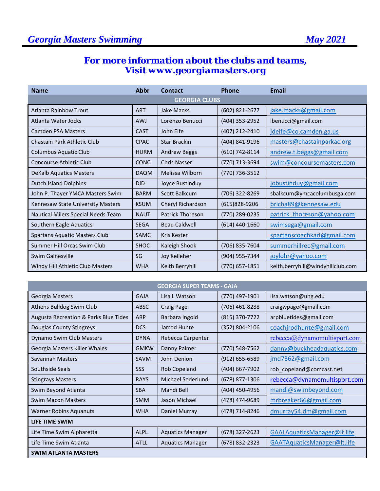#### *For more information about the clubs and teams, Visit www.georgiamasters.org*

| <b>Name</b>                          | <b>Abbr</b> | Contact                 | <b>Phone</b>     | Email                             |  |
|--------------------------------------|-------------|-------------------------|------------------|-----------------------------------|--|
| <b>GEORGIA CLUBS</b>                 |             |                         |                  |                                   |  |
| Atlanta Rainbow Trout                | <b>ART</b>  | Jake Macks              | (602) 821-2677   | jake.macks@gmail.com              |  |
| Atlanta Water Jocks                  | <b>AWJ</b>  | Lorenzo Benucci         | (404) 353-2952   | lbenucci@gmail.com                |  |
| <b>Camden PSA Masters</b>            | <b>CAST</b> | John Eife               | (407) 212-2410   | jdeife@co.camden.ga.us            |  |
| Chastain Park Athletic Club          | <b>CPAC</b> | <b>Star Brackin</b>     | (404) 841-9196   | masters@chastainparkac.org        |  |
| Columbus Aquatic Club                | <b>HURM</b> | <b>Andrew Beggs</b>     | (610) 742-8114   | andrew.t.beggs@gmail.com          |  |
| Concourse Athletic Club              | <b>CONC</b> | <b>Chris Nasser</b>     | (770) 713-3694   | swim@concoursemasters.com         |  |
| <b>DeKalb Aquatics Masters</b>       | <b>DAQM</b> | Melissa Wilborn         | (770) 736-3512   |                                   |  |
| <b>Dutch Island Dolphins</b>         | <b>DID</b>  | Joyce Bustinduy         |                  | jobustinduy@gmail.com             |  |
| John P. Thayer YMCA Masters Swim     | <b>BARM</b> | <b>Scott Balkcum</b>    | (706) 322-8269   | sbalkcum@ymcacolumbusga.com       |  |
| Kennesaw State University Masters    | <b>KSUM</b> | Cheryl Richardson       | (615)828-9206    | bricha89@kennesaw.edu             |  |
| Nautical Milers Special Needs Team   | <b>NAUT</b> | <b>Patrick Thoreson</b> | (770) 289-0235   | patrick thoreson@yahoo.com        |  |
| Southern Eagle Aquatics              | <b>SEGA</b> | <b>Beau Caldwell</b>    | $(614)$ 440-1660 | swimsega@gmail.com                |  |
| <b>Spartans Aquatic Masters Club</b> | SAMC        | Kris Kester             |                  | spartanscoachkarl@gmail.com       |  |
| Summer Hill Orcas Swim Club          | <b>SHOC</b> | Kaleigh Shook           | (706) 835-7604   | summerhillrec@gmail.com           |  |
| Swim Gainesville                     | SG          | Joy Kelleher            | (904) 955-7344   | joylohr@yahoo.com                 |  |
| Windy Hill Athletic Club Masters     | <b>WHA</b>  | Keith Berryhill         | $(770)$ 657-1851 | keith.berryhill@windyhillclub.com |  |

| <b>GEORGIA SUPER TEAMS - GAJA</b>     |             |                         |                    |                              |  |
|---------------------------------------|-------------|-------------------------|--------------------|------------------------------|--|
| Georgia Masters                       | <b>GAJA</b> | Lisa L Watson           | (770) 497-1901     | lisa.watson@ung.edu          |  |
| Athens Bulldog Swim Club              | <b>ABSC</b> | Craig Page              | (706) 461-8288     | craigwpage@gmail.com         |  |
| Augusta Recreation & Parks Blue Tides | <b>ARP</b>  | Barbara Ingold          | (815) 370-7722     | arpbluetides@gmail.com       |  |
| Douglas County Stingreys              | <b>DCS</b>  | Jarrod Hunte            | (352) 804-2106     | coachirodhunte@gmail.com     |  |
| Dynamo Swim Club Masters              | <b>DYNA</b> | Rebecca Carpenter       |                    | rebecca@dynamomultisport.com |  |
| Georgia Masters Killer Whales         | <b>GMKW</b> | Danny Palmer            | (770) 548-7562     | danny@buckheadaquatics.com   |  |
| Savannah Masters                      | <b>SAVM</b> | John Denion             | $(912) 655 - 6589$ | jmd7362@gmail.com            |  |
| Southside Seals                       | SSS         | Rob Copeland            | (404) 667-7902     | rob_copeland@comcast.net     |  |
| <b>Stingrays Masters</b>              | <b>RAYS</b> | Michael Soderlund       | (678) 877-1306     | rebecca@dynamomultisport.com |  |
| Swim Beyond Atlanta                   | <b>SBA</b>  | Mandi Bell              | (404) 450-4956     | mandi@swimbeyond.com         |  |
| <b>Swim Macon Masters</b>             | <b>SMM</b>  | Jason Michael           | (478) 474-9689     | mrbreaker66@gmail.com        |  |
| <b>Warner Robins Aquanuts</b>         | <b>WHA</b>  | Daniel Murray           | (478) 714-8246     | dmurray54.dm@gmail.com       |  |
| LIFE TIME SWIM                        |             |                         |                    |                              |  |
| Life Time Swim Alpharetta             | <b>ALPL</b> | <b>Aquatics Manager</b> | (678) 327-2623     | GAALAquaticsManager@lt.life  |  |
| Life Time Swim Atlanta                | <b>ATLL</b> | <b>Aquatics Manager</b> | (678) 832-2323     | GAATAquaticsManager@lt.life  |  |
| <b>SWIM ATLANTA MASTERS</b>           |             |                         |                    |                              |  |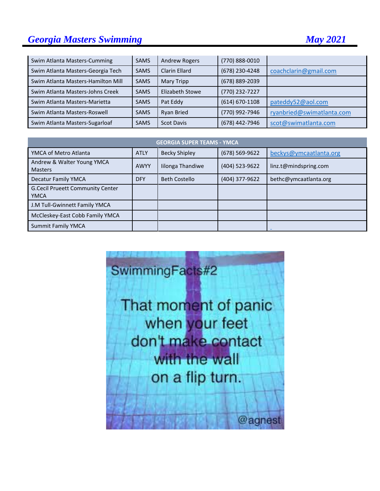## **Georgia Masters Swimming Construction Construction Construction Construction Construction Construction Construction Construction Construction Construction Construction Construction Construction Construction Construction C**

| Swim Atlanta Masters-Cumming       | <b>SAMS</b> | <b>Andrew Rogers</b>   | (770) 888-0010     |                           |
|------------------------------------|-------------|------------------------|--------------------|---------------------------|
| Swim Atlanta Masters-Georgia Tech  | <b>SAMS</b> | Clarin Ellard          | (678) 230-4248     | coachclarin@gmail.com     |
| Swim Atlanta Masters-Hamilton Mill | <b>SAMS</b> | Mary Tripp             | (678) 889-2039     |                           |
| Swim Atlanta Masters-Johns Creek   | <b>SAMS</b> | <b>Elizabeth Stowe</b> | (770) 232-7227     |                           |
| Swim Atlanta Masters-Marietta      | <b>SAMS</b> | Pat Eddy               | $(614) 670 - 1108$ | pateddy52@aol.com         |
| Swim Atlanta Masters-Roswell       | <b>SAMS</b> | <b>Ryan Bried</b>      | (770) 992-7946     | ryanbried@swimatlanta.com |
| Swim Atlanta Masters-Sugarloaf     | <b>SAMS</b> | <b>Scot Davis</b>      | (678) 442-7946     | scot@swimatlanta.com      |

| <b>GEORGIA SUPER TEAMS - YMCA</b>                      |             |                      |                |                        |
|--------------------------------------------------------|-------------|----------------------|----------------|------------------------|
| YMCA of Metro Atlanta                                  | <b>ATLY</b> | <b>Becky Shipley</b> | (678) 569-9622 | beckys@ymcaatlanta.org |
| Andrew & Walter Young YMCA<br><b>Masters</b>           | <b>AWYY</b> | Iilonga Thandiwe     | (404) 523-9622 | linz.t@mindspring.com  |
| <b>Decatur Family YMCA</b>                             | <b>DFY</b>  | <b>Beth Costello</b> | (404) 377-9622 | bethc@ymcaatlanta.org  |
| <b>G.Cecil Prueett Community Center</b><br><b>YMCA</b> |             |                      |                |                        |
| J.M Tull-Gwinnett Family YMCA                          |             |                      |                |                        |
| McCleskey-East Cobb Family YMCA                        |             |                      |                |                        |
| <b>Summit Family YMCA</b>                              |             |                      |                |                        |